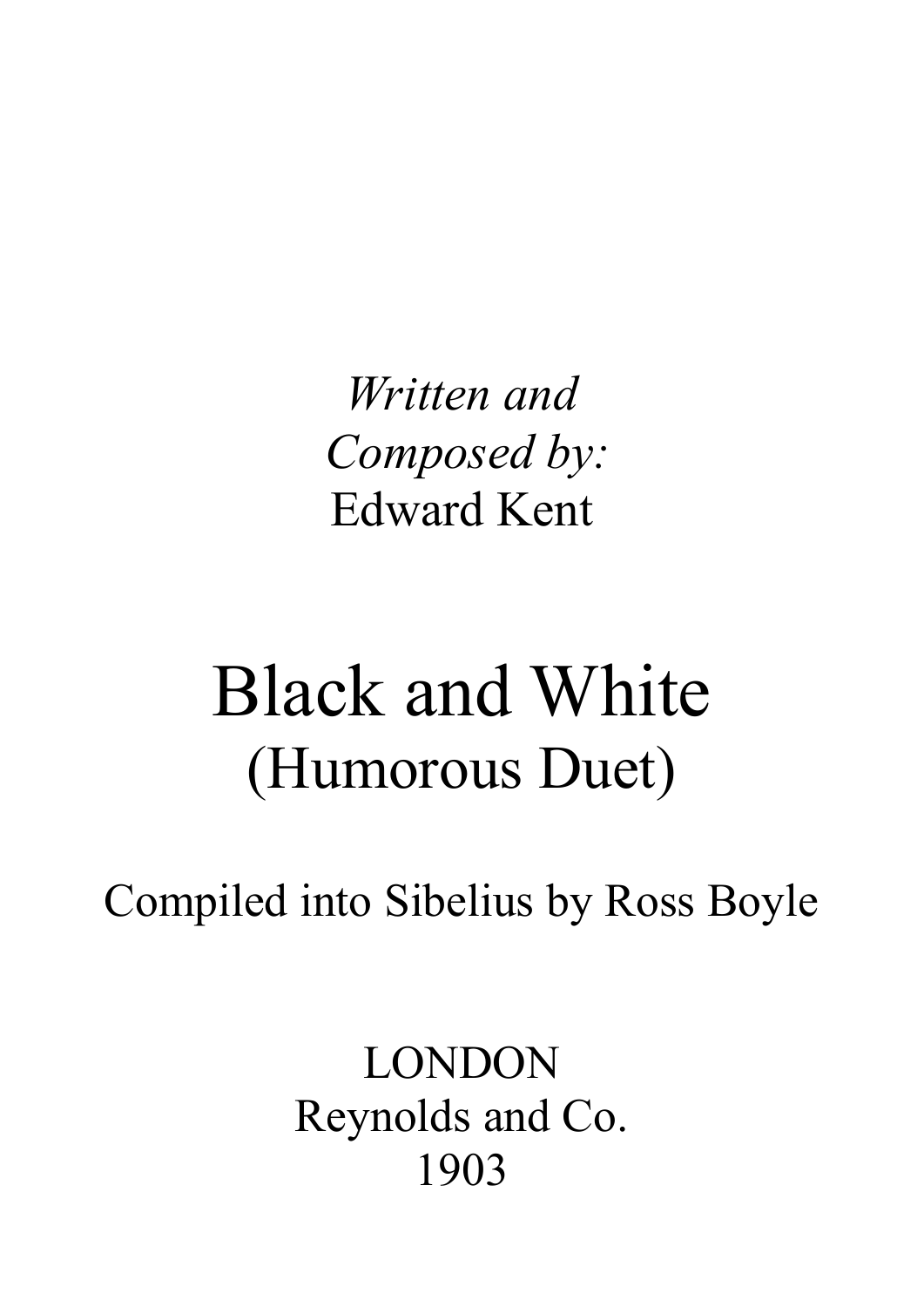Written and Composed by: Edward Kent

## Black and White (Humorous Duet)

Compiled into Sibelius by Ross Boyle

LONDON Reynolds and Co. 1903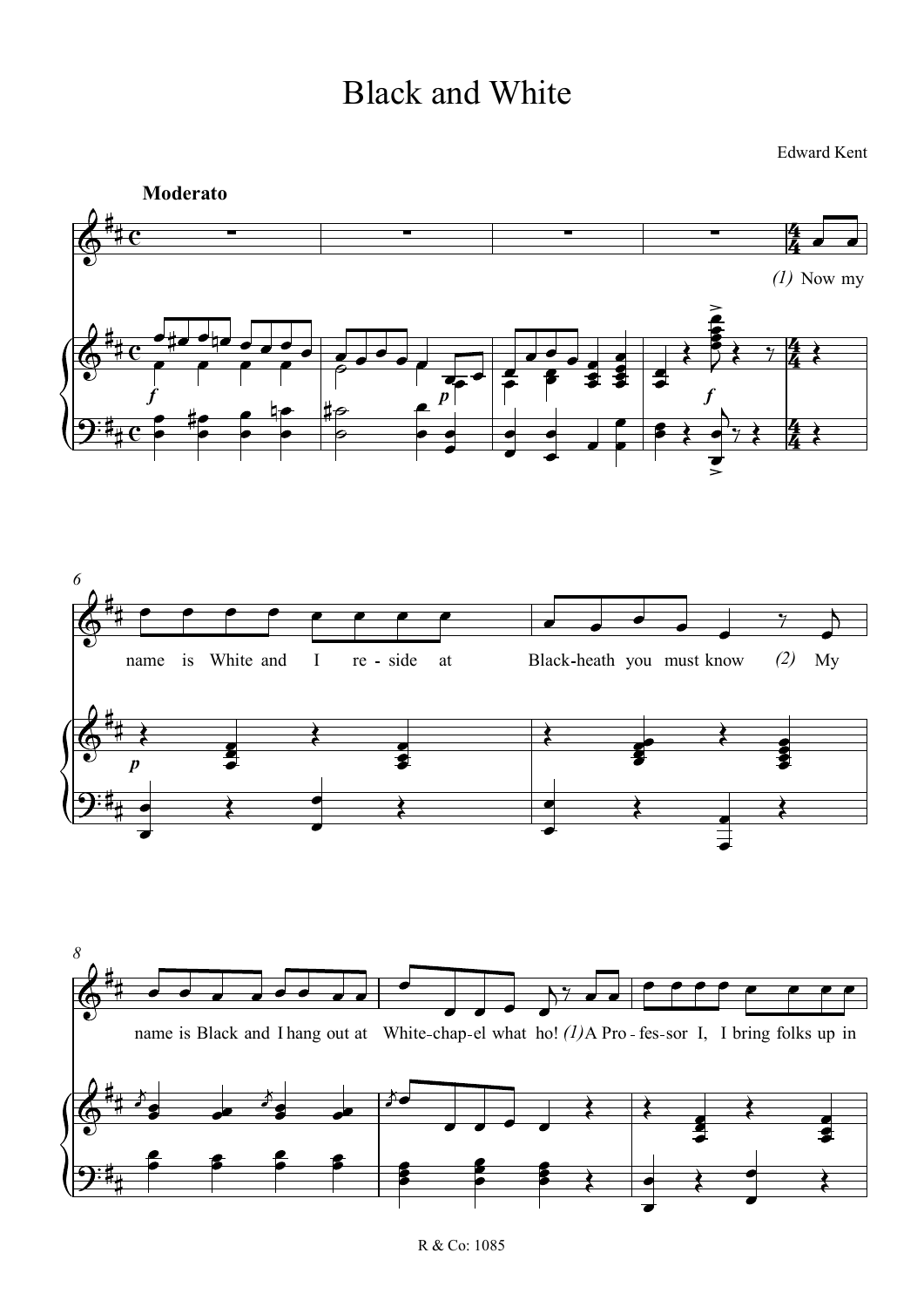## Black and White

Edward Kent

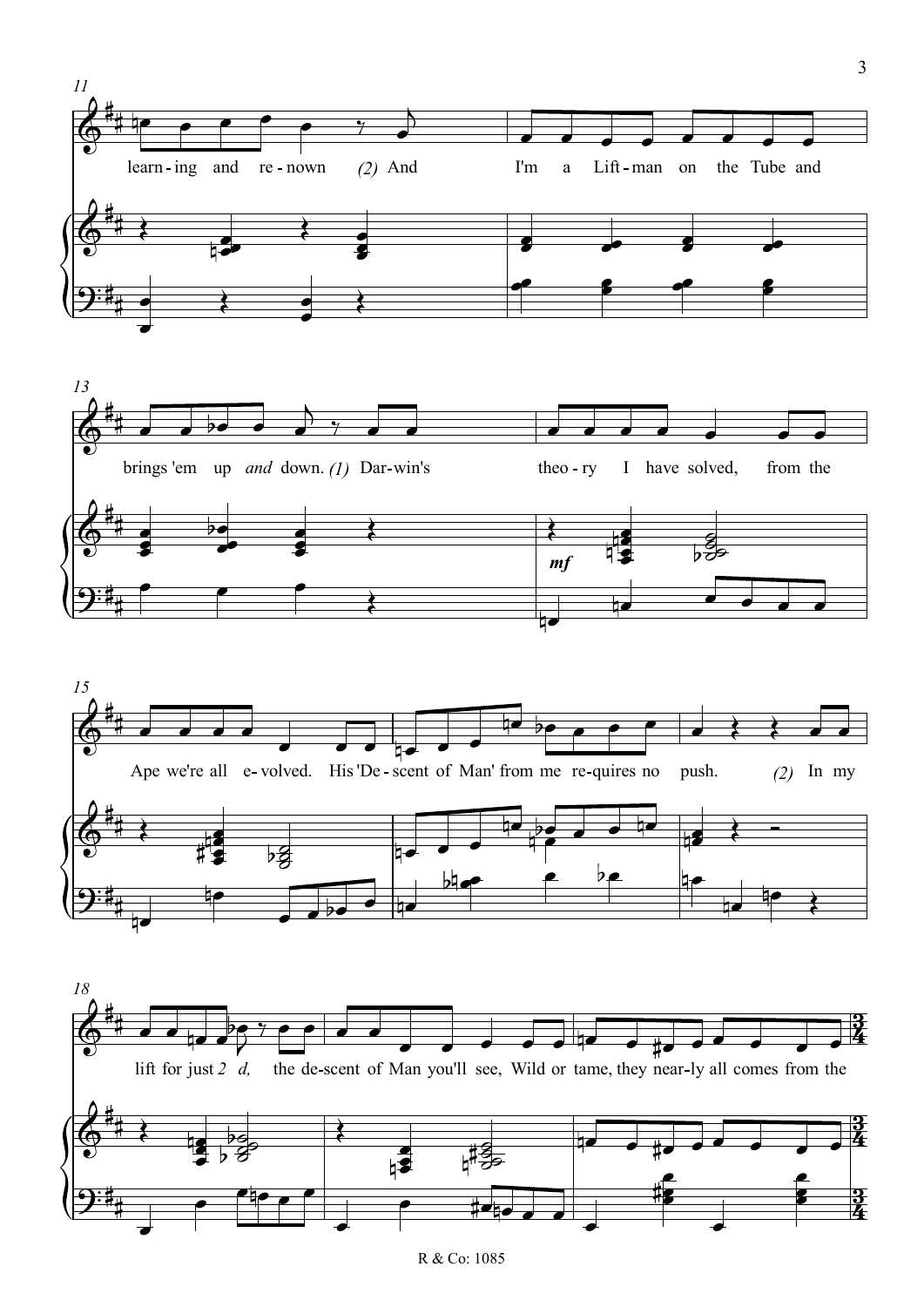





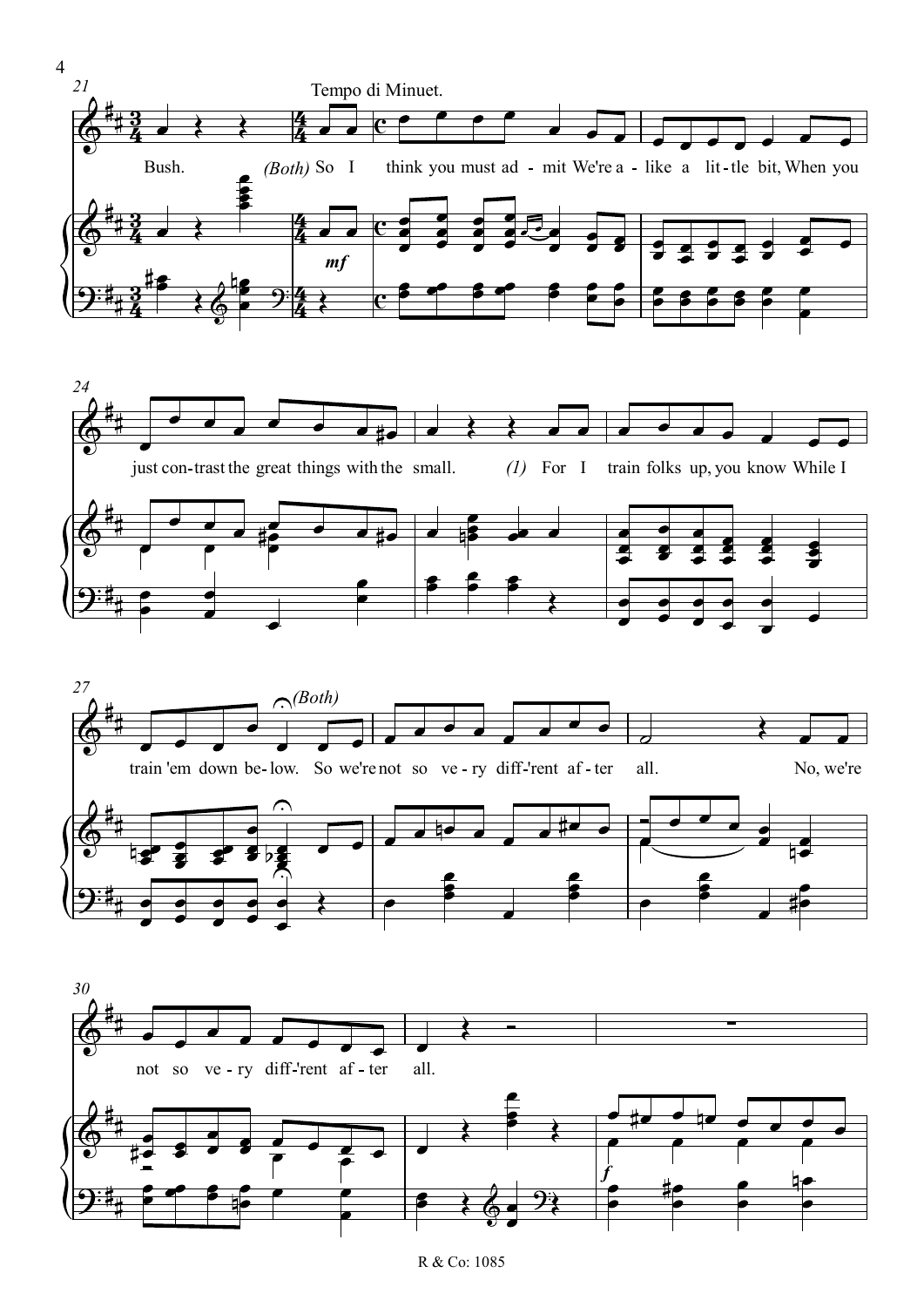

## R & Co: 1085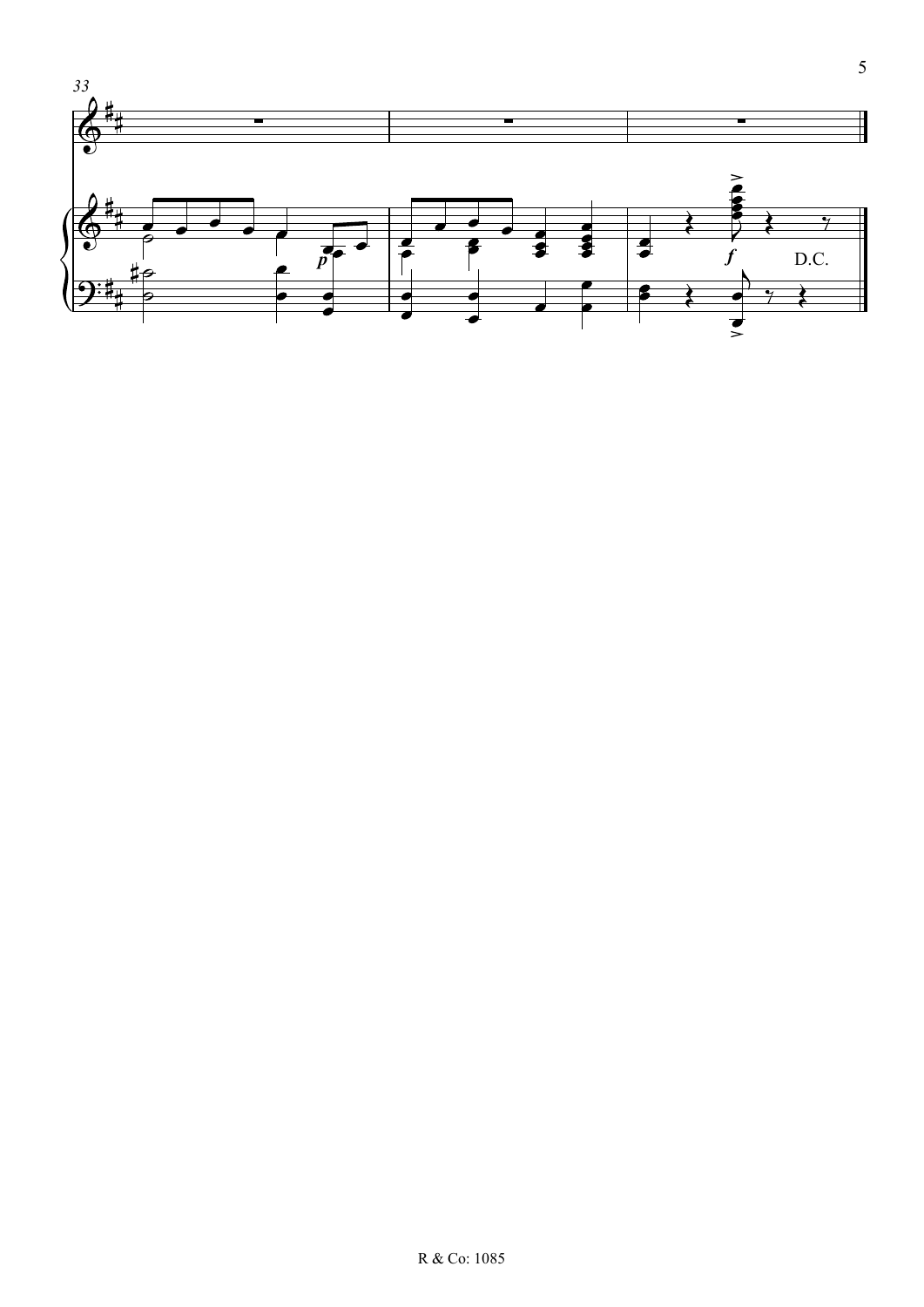